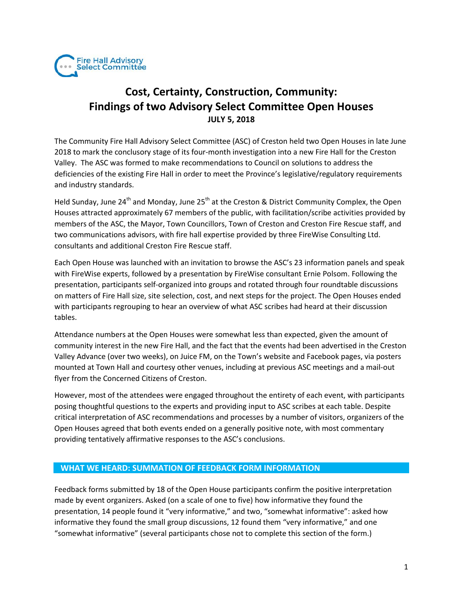

# **Cost, Certainty, Construction, Community: Findings of two Advisory Select Committee Open Houses JULY 5, 2018**

The Community Fire Hall Advisory Select Committee (ASC) of Creston held two Open Houses in late June 2018 to mark the conclusory stage of its four-month investigation into a new Fire Hall for the Creston Valley. The ASC was formed to make recommendations to Council on solutions to address the deficiencies of the existing Fire Hall in order to meet the Province's legislative/regulatory requirements and industry standards.

Held Sunday, June 24<sup>th</sup> and Monday, June 25<sup>th</sup> at the Creston & District Community Complex, the Open Houses attracted approximately 67 members of the public, with facilitation/scribe activities provided by members of the ASC, the Mayor, Town Councillors, Town of Creston and Creston Fire Rescue staff, and two communications advisors, with fire hall expertise provided by three FireWise Consulting Ltd. consultants and additional Creston Fire Rescue staff.

Each Open House was launched with an invitation to browse the ASC's 23 information panels and speak with FireWise experts, followed by a presentation by FireWise consultant Ernie Polsom. Following the presentation, participants self-organized into groups and rotated through four roundtable discussions on matters of Fire Hall size, site selection, cost, and next steps for the project. The Open Houses ended with participants regrouping to hear an overview of what ASC scribes had heard at their discussion tables.

Attendance numbers at the Open Houses were somewhat less than expected, given the amount of community interest in the new Fire Hall, and the fact that the events had been advertised in the Creston Valley Advance (over two weeks), on Juice FM, on the Town's website and Facebook pages, via posters mounted at Town Hall and courtesy other venues, including at previous ASC meetings and a mail-out flyer from the Concerned Citizens of Creston.

However, most of the attendees were engaged throughout the entirety of each event, with participants posing thoughtful questions to the experts and providing input to ASC scribes at each table. Despite critical interpretation of ASC recommendations and processes by a number of visitors, organizers of the Open Houses agreed that both events ended on a generally positive note, with most commentary providing tentatively affirmative responses to the ASC's conclusions.

## **WHAT WE HEARD: SUMMATION OF FEEDBACK FORM INFORMATION**

Feedback forms submitted by 18 of the Open House participants confirm the positive interpretation made by event organizers. Asked (on a scale of one to five) how informative they found the presentation, 14 people found it "very informative," and two, "somewhat informative": asked how informative they found the small group discussions, 12 found them "very informative," and one "somewhat informative" (several participants chose not to complete this section of the form.)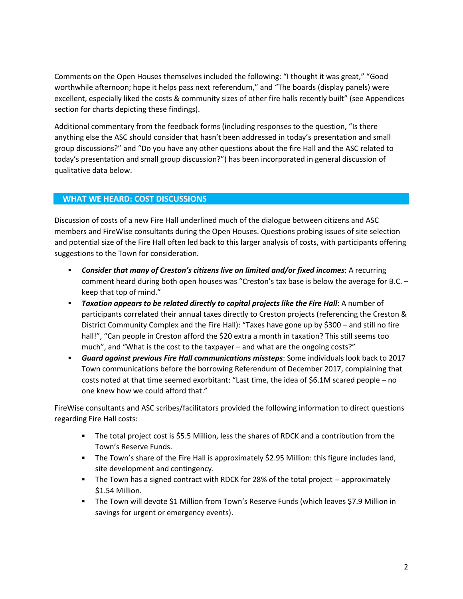Comments on the Open Houses themselves included the following: "I thought it was great," "Good worthwhile afternoon; hope it helps pass next referendum," and "The boards (display panels) were excellent, especially liked the costs & community sizes of other fire halls recently built" (see Appendices section for charts depicting these findings).

Additional commentary from the feedback forms (including responses to the question, "Is there anything else the ASC should consider that hasn't been addressed in today's presentation and small group discussions?" and "Do you have any other questions about the fire Hall and the ASC related to today's presentation and small group discussion?") has been incorporated in general discussion of qualitative data below.

#### **WHAT WE HEARD: COST DISCUSSIONS**

Discussion of costs of a new Fire Hall underlined much of the dialogue between citizens and ASC members and FireWise consultants during the Open Houses. Questions probing issues of site selection and potential size of the Fire Hall often led back to this larger analysis of costs, with participants offering suggestions to the Town for consideration.

- *Consider that many of Creston's citizens live on limited and/or fixed incomes*: A recurring comment heard during both open houses was "Creston's tax base is below the average for B.C. – keep that top of mind."
- *Taxation appears to be related directly to capital projects like the Fire Hall*: A number of participants correlated their annual taxes directly to Creston projects (referencing the Creston & District Community Complex and the Fire Hall): "Taxes have gone up by \$300 – and still no fire hall!", "Can people in Creston afford the \$20 extra a month in taxation? This still seems too much", and "What is the cost to the taxpayer – and what are the ongoing costs?"
- *Guard against previous Fire Hall communications missteps*: Some individuals look back to 2017 Town communications before the borrowing Referendum of December 2017, complaining that costs noted at that time seemed exorbitant: "Last time, the idea of \$6.1M scared people – no one knew how we could afford that."

FireWise consultants and ASC scribes/facilitators provided the following information to direct questions regarding Fire Hall costs:

- The total project cost is \$5.5 Million, less the shares of RDCK and a contribution from the Town's Reserve Funds.
- The Town's share of the Fire Hall is approximately \$2.95 Million: this figure includes land, site development and contingency.
- The Town has a signed contract with RDCK for 28% of the total project -- approximately \$1.54 Million.
- The Town will devote \$1 Million from Town's Reserve Funds (which leaves \$7.9 Million in savings for urgent or emergency events).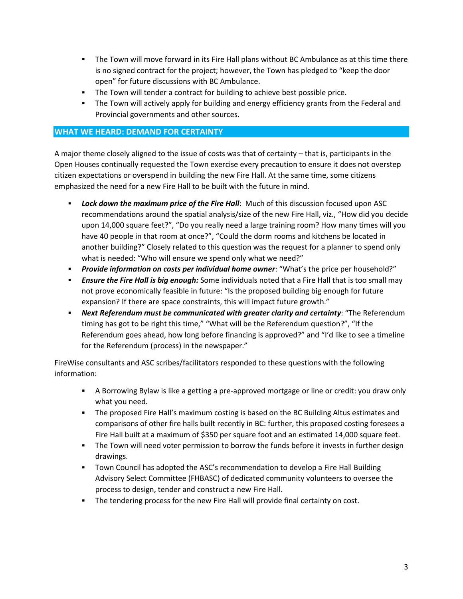- The Town will move forward in its Fire Hall plans without BC Ambulance as at this time there is no signed contract for the project; however, the Town has pledged to "keep the door open" for future discussions with BC Ambulance.
- The Town will tender a contract for building to achieve best possible price.
- **The Town will actively apply for building and energy efficiency grants from the Federal and** Provincial governments and other sources.

# **WHAT WE HEARD: DEMAND FOR CERTAINTY**

A major theme closely aligned to the issue of costs was that of certainty – that is, participants in the Open Houses continually requested the Town exercise every precaution to ensure it does not overstep citizen expectations or overspend in building the new Fire Hall. At the same time, some citizens emphasized the need for a new Fire Hall to be built with the future in mind.

- *Lock down the maximum price of the Fire Hall*: Much of this discussion focused upon ASC recommendations around the spatial analysis/size of the new Fire Hall, viz., "How did you decide upon 14,000 square feet?", "Do you really need a large training room? How many times will you have 40 people in that room at once?", "Could the dorm rooms and kitchens be located in another building?" Closely related to this question was the request for a planner to spend only what is needed: "Who will ensure we spend only what we need?"
- *Provide information on costs per individual home owner*: "What's the price per household?"
- *Ensure the Fire Hall is big enough:* Some individuals noted that a Fire Hall that is too small may not prove economically feasible in future: "Is the proposed building big enough for future expansion? If there are space constraints, this will impact future growth."
- *Next Referendum must be communicated with greater clarity and certainty*: "The Referendum timing has got to be right this time," "What will be the Referendum question?", "If the Referendum goes ahead, how long before financing is approved?" and "I'd like to see a timeline for the Referendum (process) in the newspaper."

FireWise consultants and ASC scribes/facilitators responded to these questions with the following information:

- A Borrowing Bylaw is like a getting a pre-approved mortgage or line or credit: you draw only what you need.
- The proposed Fire Hall's maximum costing is based on the BC Building Altus estimates and comparisons of other fire halls built recently in BC: further, this proposed costing foresees a Fire Hall built at a maximum of \$350 per square foot and an estimated 14,000 square feet.
- The Town will need voter permission to borrow the funds before it invests in further design drawings.
- Town Council has adopted the ASC's recommendation to develop a Fire Hall Building Advisory Select Committee (FHBASC) of dedicated community volunteers to oversee the process to design, tender and construct a new Fire Hall.
- The tendering process for the new Fire Hall will provide final certainty on cost.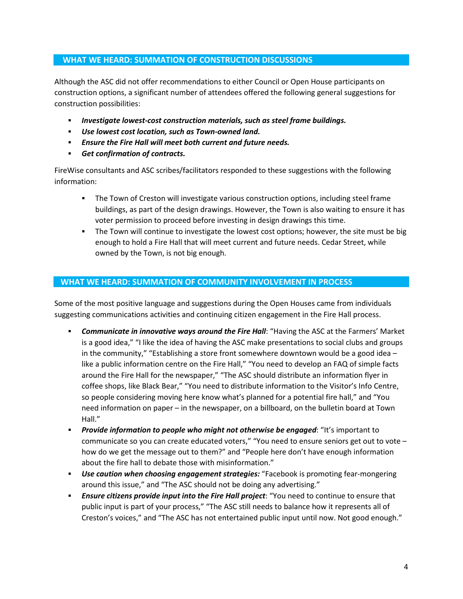## **WHAT WE HEARD: SUMMATION OF CONSTRUCTION DISCUSSIONS**

Although the ASC did not offer recommendations to either Council or Open House participants on construction options, a significant number of attendees offered the following general suggestions for construction possibilities:

- *Investigate lowest-cost construction materials, such as steel frame buildings.*
- *Use lowest cost location, such as Town-owned land.*
- *Ensure the Fire Hall will meet both current and future needs.*
- *Get confirmation of contracts.*

FireWise consultants and ASC scribes/facilitators responded to these suggestions with the following information:

- The Town of Creston will investigate various construction options, including steel frame buildings, as part of the design drawings. However, the Town is also waiting to ensure it has voter permission to proceed before investing in design drawings this time.
- **The Town will continue to investigate the lowest cost options; however, the site must be big** enough to hold a Fire Hall that will meet current and future needs. Cedar Street, while owned by the Town, is not big enough.

#### **WHAT WE HEARD: SUMMATION OF COMMUNITY INVOLVEMENT IN PROCESS**

Some of the most positive language and suggestions during the Open Houses came from individuals suggesting communications activities and continuing citizen engagement in the Fire Hall process.

- *Communicate in innovative ways around the Fire Hall*: "Having the ASC at the Farmers' Market is a good idea," "I like the idea of having the ASC make presentations to social clubs and groups in the community," "Establishing a store front somewhere downtown would be a good idea  $$ like a public information centre on the Fire Hall," "You need to develop an FAQ of simple facts around the Fire Hall for the newspaper," "The ASC should distribute an information flyer in coffee shops, like Black Bear," "You need to distribute information to the Visitor's Info Centre, so people considering moving here know what's planned for a potential fire hall," and "You need information on paper – in the newspaper, on a billboard, on the bulletin board at Town Hall."
- *Provide information to people who might not otherwise be engaged*: "It's important to communicate so you can create educated voters," "You need to ensure seniors get out to vote how do we get the message out to them?" and "People here don't have enough information about the fire hall to debate those with misinformation."
- *Use caution when choosing engagement strategies:* "Facebook is promoting fear-mongering around this issue," and "The ASC should not be doing any advertising."
- *Ensure citizens provide input into the Fire Hall project*: "You need to continue to ensure that public input is part of your process," "The ASC still needs to balance how it represents all of Creston's voices," and "The ASC has not entertained public input until now. Not good enough."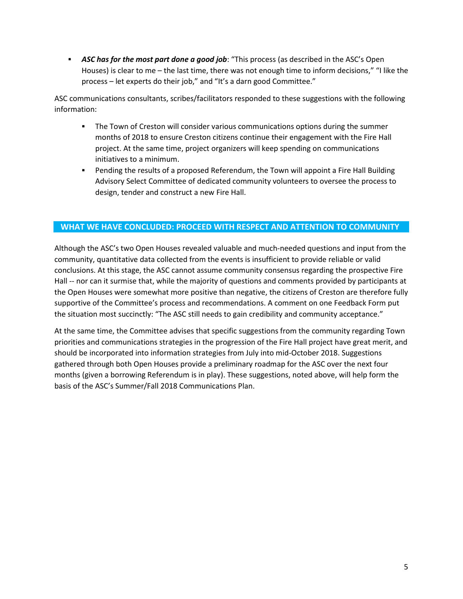*ASC has for the most part done a good job*: "This process (as described in the ASC's Open Houses) is clear to me – the last time, there was not enough time to inform decisions," "I like the process – let experts do their job," and "It's a darn good Committee."

ASC communications consultants, scribes/facilitators responded to these suggestions with the following information:

- The Town of Creston will consider various communications options during the summer months of 2018 to ensure Creston citizens continue their engagement with the Fire Hall project. At the same time, project organizers will keep spending on communications initiatives to a minimum.
- **Pending the results of a proposed Referendum, the Town will appoint a Fire Hall Building** Advisory Select Committee of dedicated community volunteers to oversee the process to design, tender and construct a new Fire Hall.

## **WHAT WE HAVE CONCLUDED: PROCEED WITH RESPECT AND ATTENTION TO COMMUNITY**

Although the ASC's two Open Houses revealed valuable and much-needed questions and input from the community, quantitative data collected from the events is insufficient to provide reliable or valid conclusions. At this stage, the ASC cannot assume community consensus regarding the prospective Fire Hall -- nor can it surmise that, while the majority of questions and comments provided by participants at the Open Houses were somewhat more positive than negative, the citizens of Creston are therefore fully supportive of the Committee's process and recommendations. A comment on one Feedback Form put the situation most succinctly: "The ASC still needs to gain credibility and community acceptance."

At the same time, the Committee advises that specific suggestions from the community regarding Town priorities and communications strategies in the progression of the Fire Hall project have great merit, and should be incorporated into information strategies from July into mid-October 2018. Suggestions gathered through both Open Houses provide a preliminary roadmap for the ASC over the next four months (given a borrowing Referendum is in play). These suggestions, noted above, will help form the basis of the ASC's Summer/Fall 2018 Communications Plan.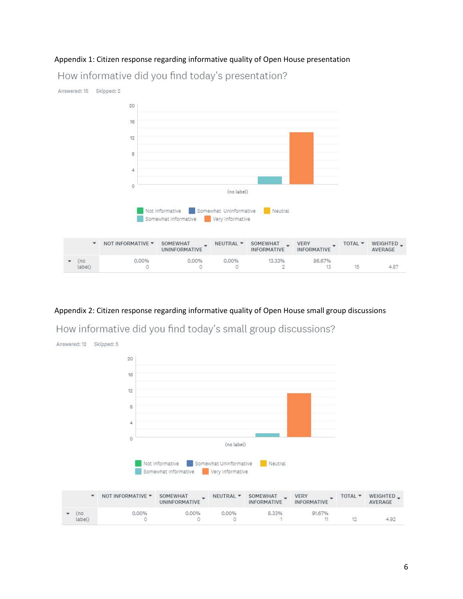# Appendix 1: Citizen response regarding informative quality of Open House presentation How informative did you find today's presentation?



# Appendix 2: Citizen response regarding informative quality of Open House small group discussions

How informative did you find today's small group discussions?